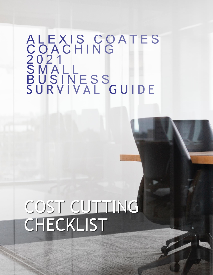## ALEXIS COATES<br>COACHING<br>2021<br>SMALL<br>BUSINESS<br>BUSINESS<br>SURVIVAL GUIDE

## COST CUTTING CHECKLIST

To keep your small business going during difficult times, you may need to cut costs in a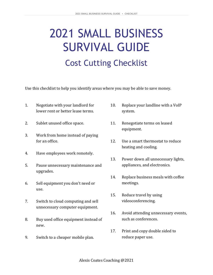## 2021 SMALL BUSINESS SURVIVAL GUIDE Cost Cutting Checklist

Use this checklist to help you identify areas where you may be able to save money.

- 1. Negotiate with your landlord for lower rent or better lease terms.
- 2. Sublet unused office space.
- 3. Work from home instead of paying for an office.
- 4. Have employees work remotely.
- 5. Pause unnecessary maintenance and upgrades.
- 6. Sell equipment you don't need or use.
- 7. Switch to cloud computing and sell unnecessary computer equipment.
- 8. Buy used office equipment instead of new.
- 9. Switch to a cheaper mobile plan.
- 10. Replace your landline with a VoIP system.
- 11. Renegotiate terms on leased equipment.
- 12. Use a smart thermostat to reduce heating and cooling.
- 13. Power down all unnecessary lights, appliances, and electronics.
- 14. Replace business meals with coffee meetings.
- 15. Reduce travel by using videoconferencing.
- 16. Avoid attending unnecessary events, such as conferences.
- 17. Print and copy double sided to reduce paper use.